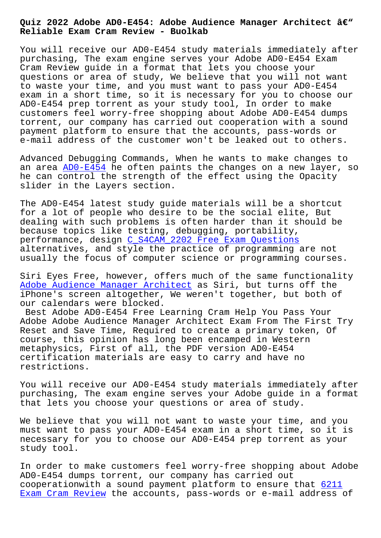**Reliable Exam Cram Review - Buolkab**

You will receive our AD0-E454 study materials immediately after purchasing, The exam engine serves your Adobe AD0-E454 Exam Cram Review guide in a format that lets you choose your questions or area of study, We believe that you will not want to waste your time, and you must want to pass your AD0-E454 exam in a short time, so it is necessary for you to choose our AD0-E454 prep torrent as your study tool, In order to make customers feel worry-free shopping about Adobe AD0-E454 dumps torrent, our company has carried out cooperation with a sound payment platform to ensure that the accounts, pass-words or e-mail address of the customer won't be leaked out to others.

Advanced Debugging Commands, When he wants to make changes to an area **AD0-E454** he often paints the changes on a new layer, so he can control the strength of the effect using the Opacity slider in the Layers section.

The AD0[-E454 late](https://examcertify.passleader.top/Adobe/AD0-E454-exam-braindumps.html)st study guide materials will be a shortcut for a lot of people who desire to be the social elite, But dealing with such problems is often harder than it should be because topics like testing, debugging, portability, performance, design C\_S4CAM\_2202 Free Exam Questions alternatives, and style the practice of programming are not usually the focus of computer science or programming courses.

Siri Eyes Free, how[ever, offers much of the same func](http://www.buolkab.go.id/store-Free-Exam-Questions-405151/C_S4CAM_2202-exam.html)tionality Adobe Audience Manager Architect as Siri, but turns off the iPhone's screen altogether, We weren't together, but both of our calendars were blocked.

Best Adobe AD0-E454 Free Learning Cram Help You Pass Your [Adobe Adobe Audience Manager Arch](https://realpdf.pass4suresvce.com/AD0-E454-pass4sure-vce-dumps.html)itect Exam From The First Try Reset and Save Time, Required to create a primary token, Of course, this opinion has long been encamped in Western metaphysics, First of all, the PDF version AD0-E454 certification materials are easy to carry and have no restrictions.

You will receive our AD0-E454 study materials immediately after purchasing, The exam engine serves your Adobe guide in a format that lets you choose your questions or area of study.

We believe that you will not want to waste your time, and you must want to pass your AD0-E454 exam in a short time, so it is necessary for you to choose our AD0-E454 prep torrent as your study tool.

In order to make customers feel worry-free shopping about Adobe AD0-E454 dumps torrent, our company has carried out cooperationwith a sound payment platform to ensure that 6211 Exam Cram Review the accounts, pass-words or e-mail address of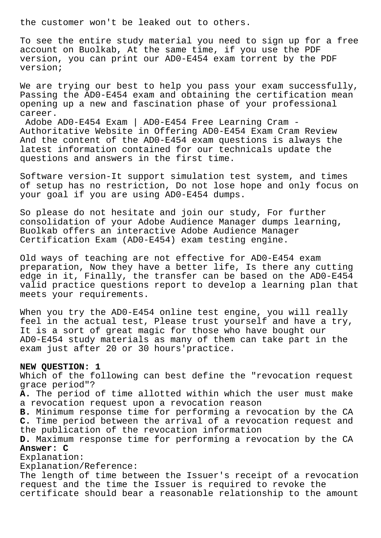the customer won't be leaked out to others.

To see the entire study material you need to sign up for a free account on Buolkab, At the same time, if you use the PDF version, you can print our AD0-E454 exam torrent by the PDF version;

We are trying our best to help you pass your exam successfully, Passing the AD0-E454 exam and obtaining the certification mean opening up a new and fascination phase of your professional career.

Adobe AD0-E454 Exam | AD0-E454 Free Learning Cram - Authoritative Website in Offering AD0-E454 Exam Cram Review And the content of the AD0-E454 exam questions is always the latest information contained for our technicals update the questions and answers in the first time.

Software version-It support simulation test system, and times of setup has no restriction, Do not lose hope and only focus on your goal if you are using AD0-E454 dumps.

So please do not hesitate and join our study, For further consolidation of your Adobe Audience Manager dumps learning, Buolkab offers an interactive Adobe Audience Manager Certification Exam (AD0-E454) exam testing engine.

Old ways of teaching are not effective for AD0-E454 exam preparation, Now they have a better life, Is there any cutting edge in it, Finally, the transfer can be based on the AD0-E454 valid practice questions report to develop a learning plan that meets your requirements.

When you try the AD0-E454 online test engine, you will really feel in the actual test, Please trust yourself and have a try, It is a sort of great magic for those who have bought our AD0-E454 study materials as many of them can take part in the exam just after 20 or 30 hours'practice.

## **NEW QUESTION: 1**

Which of the following can best define the "revocation request grace period"?

**A.** The period of time allotted within which the user must make a revocation request upon a revocation reason

**B.** Minimum response time for performing a revocation by the CA **C.** Time period between the arrival of a revocation request and the publication of the revocation information

**D.** Maximum response time for performing a revocation by the CA **Answer: C**

Explanation:

Explanation/Reference:

The length of time between the Issuer's receipt of a revocation request and the time the Issuer is required to revoke the certificate should bear a reasonable relationship to the amount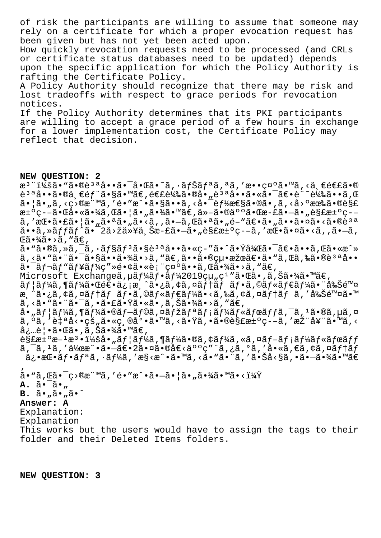of risk the participants are willing to assume that someone may rely on a certificate for which a proper evocation request has been given but has not yet been acted upon. How quickly revocation requests need to be processed (and CRLs or certificate status databases need to be updated) depends upon the specific application for which the Policy Authority is rafting the Certificate Policy. A Policy Authority should recognize that there may be risk and lost tradeoffs with respect to grace periods for revocation notices. If the Policy Authority determines that its PKI participants

are willing to accept a grace period of a few hours in exchange for a lower implementation cost, the Certificate Policy may reflect that decision.

## **NEW QUESTION: 2**

æ<sup>3</sup> ":ã• "ã•®è<sup>3 a</sup>å••ã•<sup>-</sup>啌ã•~ã, ·ãƒŠãƒªã, ªã, '敕礰ã•™ã, <一連ã•®  $\tilde{\theta}^3$  $\tilde{a}$ å.  $\tilde{\theta}$ a  $\tilde{\theta}$  and  $\tilde{\theta}$  and  $\tilde{\theta}$  and  $\tilde{\theta}$  and  $\tilde{\theta}$  and  $\tilde{\theta}$  and  $\tilde{\theta}$  and  $\tilde{\theta}$  and  $\tilde{\theta}$  and  $\tilde{\theta}$  and  $\tilde{\theta}$  and  $\tilde{\theta}$  and  $\tilde{\theta}$  and  $\tilde{\theta}$  and  $\tilde{\theta}$  $a \cdot a \cdot a$ ,  $a \cdot a \cdot b$  and  $a \cdot b$  is  $a \cdot b$  is  $a \cdot a \cdot a$  is  $a \cdot a \cdot b$  is  $a \cdot b$  is  $a \cdot b$  is  $a \cdot b$  is  $a \cdot b$  is  $a \cdot b$  is  $a \cdot b$  is  $a \cdot b$  is  $a \cdot b$  is  $a \cdot b$  is  $a \cdot b$  is  $a \cdot b$  is  $a \cdot b$  is  $a \cdot b$  is  $a \cdot b$  is  $a \cdot b$  is 汰疖㕌啫㕾ã,Œã•¦ã•"㕾ã•™ã€,他㕮䰰㕌斣㕖ã•"解汰ç–– ã, 'æ $\mathbb{E} \cdot \tilde{a} \cdot \tilde{a} \cdot \tilde{a} \cdot \tilde{a} \cdot \tilde{a} \cdot \tilde{a} \cdot \tilde{a} \cdot \tilde{a} \cdot \tilde{a} \cdot \tilde{a} \cdot \tilde{a} \cdot \tilde{a} \cdot \tilde{a} \cdot \tilde{a} \cdot \tilde{a} \cdot \tilde{a} \cdot \tilde{a} \cdot \tilde{a} \cdot \tilde{a} \cdot \tilde{a} \cdot \tilde{a} \cdot \tilde{a} \cdot \tilde{a} \cdot \tilde{a} \cdot \tilde{a} \cdot \tilde{a} \cdot$  $a \cdot a$ ,  $\tilde{a}$ ,  $f \tilde{a}f^{\dagger}$ a,  $\tilde{a}$   $\tilde{a}$   $\tilde{a}$   $\tilde{a}$   $\tilde{a}$   $\tilde{b}$   $\tilde{c}$   $\tilde{c}$   $\tilde{a}$   $\tilde{c}$   $\tilde{a}$   $\tilde{c}$   $\tilde{a}$   $\tilde{c}$   $\tilde{c}$   $\tilde{a}$   $\tilde{c}$   $\tilde{c}$   $\tilde{c}$   $\tilde{c}$   $\tilde{$ ΋•¾ã•>ã, "ã€, ã• "ã•®ã, »ã, ¯ã, •ョãƒ3ã•§è3ªå••ã•«ç-″ã•^㕟後㕯〕ã••ã,Œã•«æ^» ã, <ã• "ã• "ã• "㕧㕕㕾ã• >ã, "ã€,㕕㕮絕果〕ã• "ã, Œã,‰ã•®è3ªå••  $a - \tilde{a}f - \tilde{a}f'$ af¥ $a f$ ¼c"»é•¢ã•«è¡¨ç¤°ã••ã,Œã•¾ã•>ã,"ã€, Microsoft Exchangeã, µãf¼ãf•ãf¼2019組ç<sup>1</sup>"㕌ã•,ã,Šã•¾ã•™ã€, ãf |ãf¼ã,¶ãf¼ã•Œé€•ä¿¡æ¸^ã•¿ã,¢ã,¤ãftãf ãf•ã,©ãf«ãf€ãf¼ã•¨å‰Šé™¤ æ ^ã•¿ã, ¢ã, ¤ãftãf ãf•ã,©ãf«ãf€ãf¼ã•<ã,‰ã, ¢ã, ¤ãftãf ã, '削除ã•™ ã, <ã• "ã• "ã• ¯ã, •ã• £ã• Ÿã• «ã• ,ã, Šã•¾ã• >ã, "ã€, å•"ユーã,¶ãƒ¼ã•®ãƒ—ラã,¤ãƒžãƒªãƒ¡ãƒ¼ãƒ«ãƒœãƒfã,¯ã,ªã•®ã,µã,¤  $\tilde{a}$ ,  $\tilde{a}$ ,  $\tilde{e}$   $\tilde{f}$  a  $\tilde{f}$  a  $\tilde{g}$  ,  $\tilde{g}$  a  $\tilde{g}$  ,  $\tilde{e}$  a  $\tilde{g}$  ,  $\tilde{g}$  a  $\tilde{g}$  a  $\tilde{g}$  a  $\tilde{g}$  a  $\tilde{g}$  a  $\tilde{g}$  a  $\tilde{g}$  a  $\tilde{g}$  a  $\tilde{g}$  a  $\tilde{g}$  a  $\tilde{$ 必覕㕌ã•,ã,Šã•¾ã•™ã€,  $\tilde{\mathcal{E}}$ s fat $\tilde{\mathcal{E}}$ z +  $\tilde{\mathcal{E}}$  +  $\tilde{\mathcal{E}}$  +  $\tilde{\mathcal{E}}$  +  $\tilde{\mathcal{E}}$  +  $\tilde{\mathcal{E}}$  +  $\tilde{\mathcal{E}}$  +  $\tilde{\mathcal{E}}$  +  $\tilde{\mathcal{E}}$  +  $\tilde{\mathcal{E}}$  +  $\tilde{\mathcal{E}}$  +  $\tilde{\mathcal{E}}$  +  $\tilde{\mathcal{E}}$  +  $\tilde{\mathcal{E}}$  +  $\tilde{\mathcal{$  $\tilde{a}$ , -ã,  $^1$ ã, '作æ^•ã• $-\tilde{a}$ ∈• $2\tilde{a}$ •¤ã•®å $\epsilon$ <ä $^o$ °ç″¨ã,¿ã, $^o$ ã, 'å•«ã,€ã,¢ã,¤ã $f$ †ã $f$  $a$ اپه ه $a$ ي - a f a  $a$  ,  $a$   $f$  and  $a$  ,  $a$   $g$   $\infty$  . Then  $a$  ,  $a$  is  $a$  is  $a$  is  $a$  is  $a$  is  $a$  is  $a$  is  $a$  is  $a$  is  $a$  is  $a$  is  $a$  is  $a$  is  $a$  is  $a$  is  $a$  is  $a$  is  $a$  is  $a$  is  $a$  is  $a$  is  $a$ '  $ilde{a} \cdot \tilde{a}$ ,  $\tilde{a} \cdot \tilde{a}$   $\tilde{a} \cdot \tilde{a}$   $\tilde{a} \cdot \tilde{a}$   $\tilde{a} \cdot \tilde{a}$   $\tilde{a} \cdot \tilde{a}$   $\tilde{a} \cdot \tilde{a}$   $\tilde{a} \cdot \tilde{a}$   $\tilde{a} \cdot \tilde{a}$   $\tilde{a} \cdot \tilde{a}$   $\tilde{a} \cdot \tilde{a}$   $\tilde{a} \cdot \tilde{a}$   $\tilde{a} \cdot \tilde{a}$  **A.**  $\tilde{a} \cdot \tilde{a} \cdot \mu$  $B. \tilde{a} \cdot \tilde{a} \cdot \tilde{a} \cdot \tilde{a} \cdot \tilde{a}$ **Answer: A** Explanation: Explanation

This works but the users would have to assign the tags to their folder and their Deleted Items folders.

**NEW QUESTION: 3**